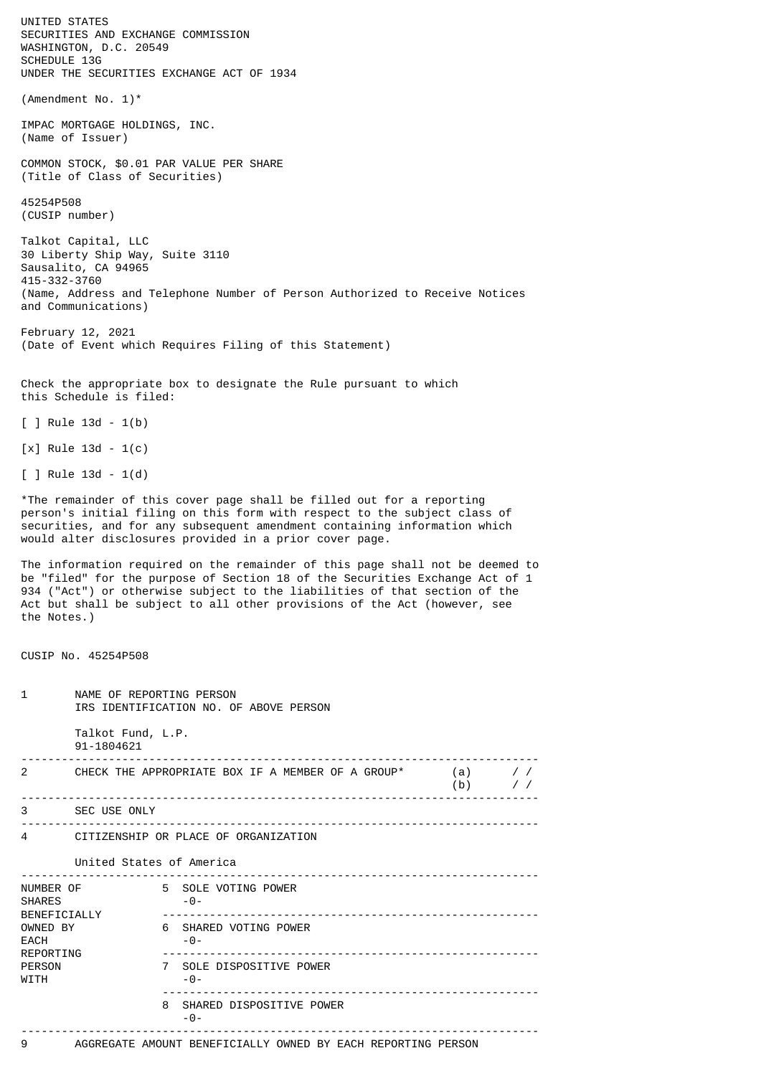UNITED STATES SECURITIES AND EXCHANGE COMMISSION WASHINGTON, D.C. 20549 SCHEDULE 13G UNDER THE SECURITIES EXCHANGE ACT OF 1934 (Amendment No. 1)\* IMPAC MORTGAGE HOLDINGS, INC. (Name of Issuer) COMMON STOCK, \$0.01 PAR VALUE PER SHARE (Title of Class of Securities) 45254P508 (CUSIP number) Talkot Capital, LLC 30 Liberty Ship Way, Suite 3110 Sausalito, CA 94965 415-332-3760 (Name, Address and Telephone Number of Person Authorized to Receive Notices and Communications) February 12, 2021 (Date of Event which Requires Filing of this Statement) Check the appropriate box to designate the Rule pursuant to which this Schedule is filed:  $[ ]$  Rule 13d - 1(b) [x] Rule 13d - 1(c) [ ] Rule 13d - 1(d) \*The remainder of this cover page shall be filled out for a reporting person's initial filing on this form with respect to the subject class of securities, and for any subsequent amendment containing information which would alter disclosures provided in a prior cover page. The information required on the remainder of this page shall not be deemed to be "filed" for the purpose of Section 18 of the Securities Exchange Act of 1 934 ("Act") or otherwise subject to the liabilities of that section of the Act but shall be subject to all other provisions of the Act (however, see the Notes.) CUSIP No. 45254P508 1 NAME OF REPORTING PERSON IRS IDENTIFICATION NO. OF ABOVE PERSON Talkot Fund, L.P. 91-1804621 ----------------------------------------------------------------------------- 2 CHECK THE APPROPRIATE BOX IF A MEMBER OF A GROUP\* (a) / / (b)  $/$  / ----------------------------------------------------------------------------- 3 SEC USE ONLY ----------------------------------------------------------------------------- 4 CITIZENSHIP OR PLACE OF ORGANIZATION United States of America ----------------------------------------------------------------------------- NUMBER OF 5 SOLE VOTING POWER SHARES -0- BENEFICIALLY -------------------------------------------------------- OWNED BY 6 SHARED VOTING POWER  $EACH$  -0-REPORTING -------------------------------------------------------- PERSON 7 SOLE DISPOSITIVE POWER  $WTTH$  -0---------------------------------------------------------

9 AGGREGATE AMOUNT BENEFICIALLY OWNED BY EACH REPORTING PERSON

-----------------------------------------------------------------------------

8 SHARED DISPOSITIVE POWER

-0-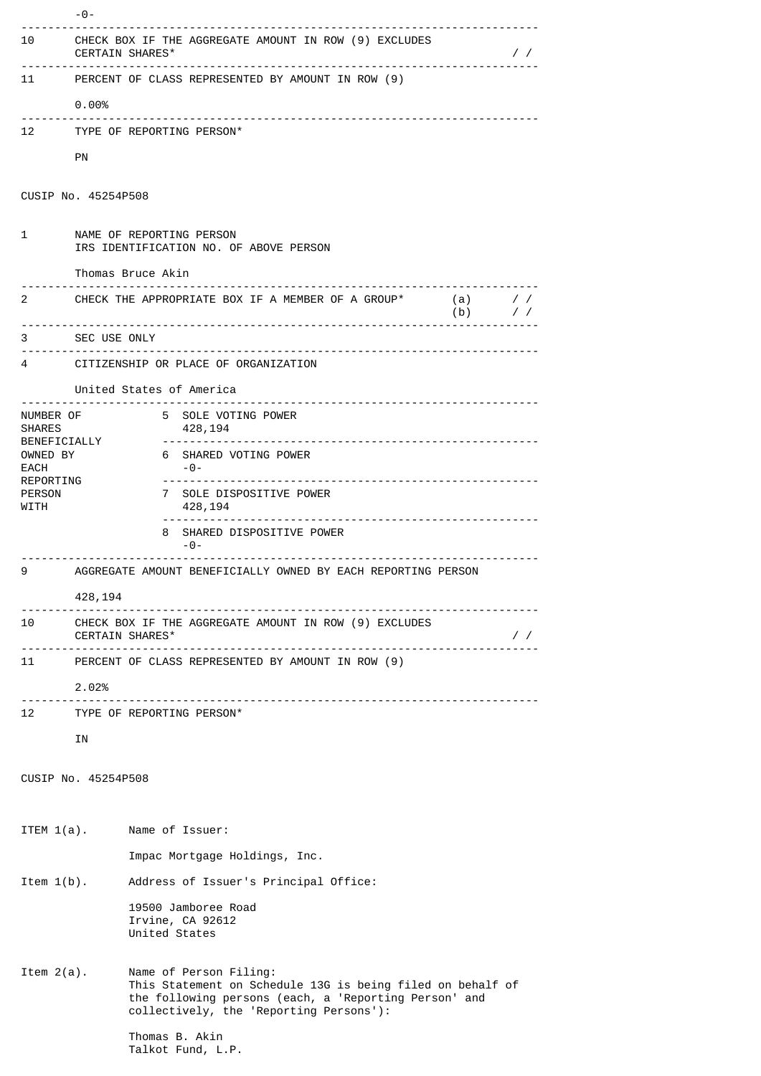|                                                                             | 10 CHECK BOX IF THE AGGREGATE AMOUNT IN ROW (9) EXCLUDES<br>CERTAIN SHARES*<br>$\sqrt{2}$ |                                                                                                                                                                                          |               |  |
|-----------------------------------------------------------------------------|-------------------------------------------------------------------------------------------|------------------------------------------------------------------------------------------------------------------------------------------------------------------------------------------|---------------|--|
|                                                                             | 11 PERCENT OF CLASS REPRESENTED BY AMOUNT IN ROW (9)                                      |                                                                                                                                                                                          |               |  |
|                                                                             | 0.00%                                                                                     |                                                                                                                                                                                          |               |  |
|                                                                             | 12 TYPE OF REPORTING PERSON*                                                              |                                                                                                                                                                                          |               |  |
|                                                                             | PN                                                                                        |                                                                                                                                                                                          |               |  |
| CUSIP No. 45254P508                                                         |                                                                                           |                                                                                                                                                                                          |               |  |
| $1 \quad$                                                                   | NAME OF REPORTING PERSON<br>IRS IDENTIFICATION NO. OF ABOVE PERSON                        |                                                                                                                                                                                          |               |  |
|                                                                             | Thomas Bruce Akin                                                                         |                                                                                                                                                                                          |               |  |
|                                                                             |                                                                                           | 2 CHECK THE APPROPRIATE BOX IF A MEMBER OF A GROUP* (a) //<br>(b)                                                                                                                        | $\frac{1}{2}$ |  |
|                                                                             | 3 SEC USE ONLY                                                                            |                                                                                                                                                                                          |               |  |
|                                                                             | 4 CITIZENSHIP OR PLACE OF ORGANIZATION                                                    |                                                                                                                                                                                          |               |  |
| United States of America                                                    |                                                                                           |                                                                                                                                                                                          |               |  |
| NUMBER OF<br><b>SHARES</b>                                                  | BENEFICIALLY                                                                              | 5 SOLE VOTING POWER<br>428,194                                                                                                                                                           |               |  |
| OWNED BY<br>EACH                                                            |                                                                                           | 6 SHARED VOTING POWER<br>-0-                                                                                                                                                             |               |  |
| REPORTING<br>PERSON<br>WITH                                                 |                                                                                           | 7 SOLE DISPOSITIVE POWER<br>428,194                                                                                                                                                      |               |  |
|                                                                             |                                                                                           | 8 SHARED DISPOSITIVE POWER<br>$-0-$                                                                                                                                                      |               |  |
| AGGREGATE AMOUNT BENEFICIALLY OWNED BY EACH REPORTING PERSON<br>9           |                                                                                           |                                                                                                                                                                                          |               |  |
| 428,194                                                                     |                                                                                           |                                                                                                                                                                                          |               |  |
| 10 CHECK BOX IF THE AGGREGATE AMOUNT IN ROW (9) EXCLUDES<br>CERTAIN SHARES* |                                                                                           |                                                                                                                                                                                          | $\frac{1}{2}$ |  |
| 11 PERCENT OF CLASS REPRESENTED BY AMOUNT IN ROW (9)                        |                                                                                           |                                                                                                                                                                                          |               |  |
|                                                                             | 2.02%                                                                                     |                                                                                                                                                                                          |               |  |
|                                                                             |                                                                                           | 12 TYPE OF REPORTING PERSON*                                                                                                                                                             |               |  |
|                                                                             | ΙN                                                                                        |                                                                                                                                                                                          |               |  |
| CUSIP No. 45254P508                                                         |                                                                                           |                                                                                                                                                                                          |               |  |
|                                                                             |                                                                                           |                                                                                                                                                                                          |               |  |
| ITEM $1(a)$ .                                                               |                                                                                           | Name of Issuer:                                                                                                                                                                          |               |  |
|                                                                             |                                                                                           | Impac Mortgage Holdings, Inc.                                                                                                                                                            |               |  |
| Item $1(b)$ .                                                               |                                                                                           | Address of Issuer's Principal Office:                                                                                                                                                    |               |  |
|                                                                             |                                                                                           | 19500 Jamboree Road<br>Irvine, CA 92612<br>United States                                                                                                                                 |               |  |
| Item $2(a)$ .                                                               |                                                                                           | Name of Person Filing:<br>This Statement on Schedule 13G is being filed on behalf of<br>the following persons (each, a 'Reporting Person' and<br>collectively, the 'Reporting Persons'): |               |  |
|                                                                             |                                                                                           | Thomas B. Akin<br>Talkot Fund, L.P.                                                                                                                                                      |               |  |

-0-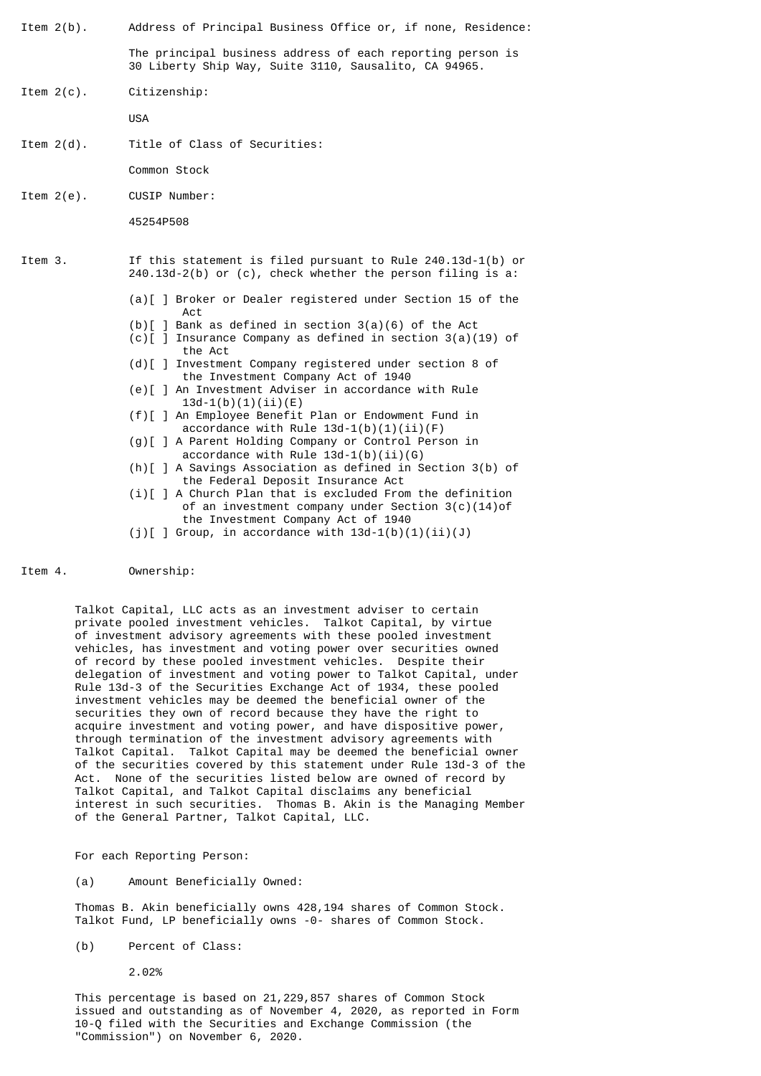Item 2(b). Address of Principal Business Office or, if none, Residence:

The principal business address of each reporting person is 30 Liberty Ship Way, Suite 3110, Sausalito, CA 94965.

Item 2(c). Citizenship:

USA

Item 2(d). Title of Class of Securities:

Common Stock

Item 2(e). CUSIP Number:

45254P508

- Item 3. If this statement is filed pursuant to Rule 240.13d-1(b) or 240.13d-2(b) or (c), check whether the person filing is a:
	- (a)[ ] Broker or Dealer registered under Section 15 of the Act
	- $(b)$ [ ] Bank as defined in section 3(a)(6) of the Act
	- (c)[ ] Insurance Company as defined in section 3(a)(19) of the Act
	- (d)[ ] Investment Company registered under section 8 of the Investment Company Act of 1940
	- (e)[ ] An Investment Adviser in accordance with Rule  $13d-1(b)(1)(ii)(E)$
	- (f)[ ] An Employee Benefit Plan or Endowment Fund in accordance with Rule  $13d-1(b)(1)(ii)(F)$
	- (g)[ ] A Parent Holding Company or Control Person in accordance with Rule  $13d-1(b)(ii)(G)$
	- (h)[ ] A Savings Association as defined in Section 3(b) of the Federal Deposit Insurance Act
	- (i)[ ] A Church Plan that is excluded From the definition of an investment company under Section 3(c)(14)of the Investment Company Act of 1940
	- (i)[ ] Group, in accordance with  $13d-1(b)(1)(ii)(J)$

Item 4. Ownership:

Talkot Capital, LLC acts as an investment adviser to certain private pooled investment vehicles. Talkot Capital, by virtue of investment advisory agreements with these pooled investment vehicles, has investment and voting power over securities owned of record by these pooled investment vehicles. Despite their delegation of investment and voting power to Talkot Capital, under Rule 13d-3 of the Securities Exchange Act of 1934, these pooled investment vehicles may be deemed the beneficial owner of the securities they own of record because they have the right to acquire investment and voting power, and have dispositive power, through termination of the investment advisory agreements with Talkot Capital. Talkot Capital may be deemed the beneficial owner of the securities covered by this statement under Rule 13d-3 of the Act. None of the securities listed below are owned of record by Talkot Capital, and Talkot Capital disclaims any beneficial interest in such securities. Thomas B. Akin is the Managing Member of the General Partner, Talkot Capital, LLC.

For each Reporting Person:

(a) Amount Beneficially Owned:

Thomas B. Akin beneficially owns 428,194 shares of Common Stock. Talkot Fund, LP beneficially owns -0- shares of Common Stock.

(b) Percent of Class:

2.02%

This percentage is based on 21,229,857 shares of Common Stock issued and outstanding as of November 4, 2020, as reported in Form 10-Q filed with the Securities and Exchange Commission (the "Commission") on November 6, 2020.